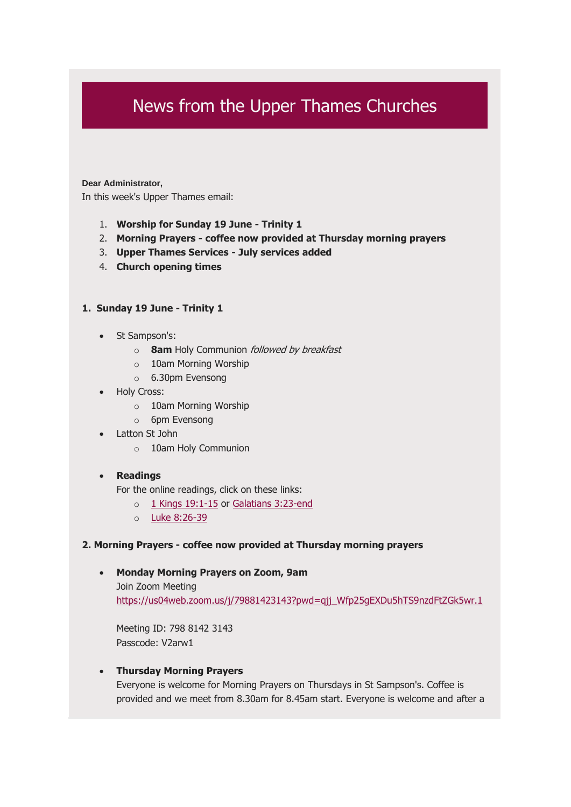# News from the Upper Thames Churches

#### **Dear Administrator,**

In this week's Upper Thames email:

- 1. **Worship for Sunday 19 June - Trinity 1**
- 2. **Morning Prayers - coffee now provided at Thursday morning prayers**
- 3. **Upper Thames Services - July services added**
- 4. **Church opening times**

### **1. Sunday 19 June - Trinity 1**

- St Sampson's:
	- o **8am** Holy Communion followed by breakfast
	- o 10am Morning Worship
	- o 6.30pm Evensong
- **Holy Cross:** 
	- o 10am Morning Worship
	- o 6pm Evensong
- Latton St John
	- o 10am Holy Communion

#### • **Readings**

For the online readings, click on these links:

- o [1 Kings 19:1-15](https://upperthames.us11.list-manage.com/track/click?u=11530255df41841bf6e3a7715&id=a1a6140add&e=6ccc2b17e1) or [Galatians 3:23-end](https://upperthames.us11.list-manage.com/track/click?u=11530255df41841bf6e3a7715&id=4a31130442&e=6ccc2b17e1)
- o [Luke 8:26-39](https://upperthames.us11.list-manage.com/track/click?u=11530255df41841bf6e3a7715&id=909c02579e&e=6ccc2b17e1)

#### **2. Morning Prayers - coffee now provided at Thursday morning prayers**

#### • **Monday Morning Prayers on Zoom, 9am**

Join Zoom Meeting https://us04web.zoom.us/j/79881423143?pwd=qjj\_Wfp25qEXDu5hTS9nzdFtZGk5wr.1

Meeting ID: 798 8142 3143 Passcode: V2arw1

### • **Thursday Morning Prayers**

Everyone is welcome for Morning Prayers on Thursdays in St Sampson's. Coffee is provided and we meet from 8.30am for 8.45am start. Everyone is welcome and after a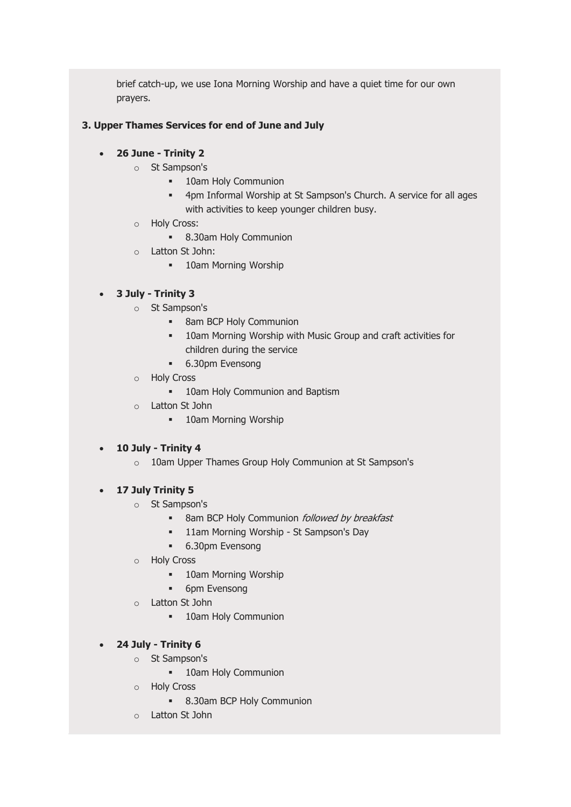brief catch-up, we use Iona Morning Worship and have a quiet time for our own prayers.

## **3. Upper Thames Services for end of June and July**

## • **26 June - Trinity 2**

- o St Sampson's
	- **■** 10am Holy Communion
	- 4pm Informal Worship at St Sampson's Church. A service for all ages with activities to keep younger children busy.
- o Holy Cross:
	- 8.30am Holy Communion
- o Latton St John:
	- 10am Morning Worship

## • **3 July - Trinity 3**

- o St Sampson's
	- 8am BCP Holy Communion
	- **10am Morning Worship with Music Group and craft activities for** children during the service
	- 6.30pm Evensong
- o Holy Cross
	- 10am Holy Communion and Baptism
- o Latton St John
	- 10am Morning Worship

# • **10 July - Trinity 4**

o 10am Upper Thames Group Holy Communion at St Sampson's

## • **17 July Trinity 5**

- o St Sampson's
	- 8am BCP Holy Communion *followed by breakfast*
	- 11am Morning Worship St Sampson's Day
	- 6.30pm Evensong
- o Holy Cross
	- 10am Morning Worship
	- 6pm Evensong
- o Latton St John
	- 10am Holy Communion

# • **24 July - Trinity 6**

- o St Sampson's
	- 10am Holy Communion
- o Holy Cross
	- 8.30am BCP Holy Communion
- o Latton St John